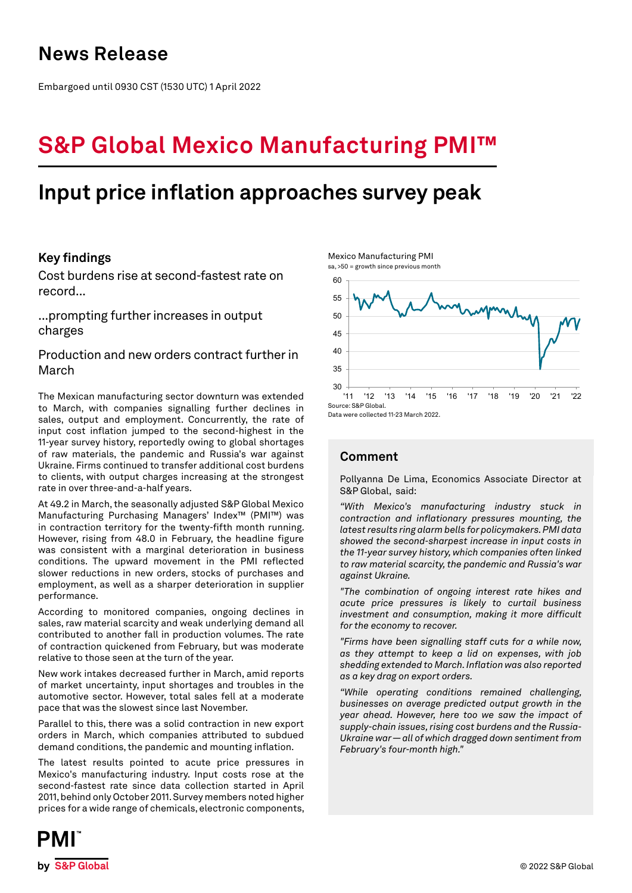## **News Release**

Embargoed until 0930 CST (1530 UTC) 1 April 2022

# **S&P Global Mexico Manufacturing PMI™**

## **Input price inflation approaches survey peak**

## **Key findings**

Cost burdens rise at second-fastest rate on record...

...prompting further increases in output charges

Production and new orders contract further in March

The Mexican manufacturing sector downturn was extended to March, with companies signalling further declines in sales, output and employment. Concurrently, the rate of input cost inflation jumped to the second-highest in the 11-year survey history, reportedly owing to global shortages of raw materials, the pandemic and Russia's war against Ukraine. Firms continued to transfer additional cost burdens to clients, with output charges increasing at the strongest rate in over three-and-a-half years.

At 49.2 in March, the seasonally adjusted S&P Global Mexico Manufacturing Purchasing Managers' Index™ (PMI™) was in contraction territory for the twenty-fifth month running. However, rising from 48.0 in February, the headline figure was consistent with a marginal deterioration in business conditions. The upward movement in the PMI reflected slower reductions in new orders, stocks of purchases and employment, as well as a sharper deterioration in supplier performance.

According to monitored companies, ongoing declines in sales, raw material scarcity and weak underlying demand all contributed to another fall in production volumes. The rate of contraction quickened from February, but was moderate relative to those seen at the turn of the year.

New work intakes decreased further in March, amid reports of market uncertainty, input shortages and troubles in the automotive sector. However, total sales fell at a moderate pace that was the slowest since last November.

Parallel to this, there was a solid contraction in new export orders in March, which companies attributed to subdued demand conditions, the pandemic and mounting inflation.

The latest results pointed to acute price pressures in Mexico's manufacturing industry. Input costs rose at the second-fastest rate since data collection started in April 2011, behind only October 2011. Survey members noted higher prices for a wide range of chemicals, electronic components,



## **Comment**

Mexico Manufacturing PMI

Pollyanna De Lima, Economics Associate Director at S&P Global, said:

*"With Mexico's manufacturing industry stuck in contraction and inflationary pressures mounting, the latest results ring alarm bells for policymakers. PMI data showed the second-sharpest increase in input costs in the 11-year survey history, which companies often linked to raw material scarcity, the pandemic and Russia's war against Ukraine.*

*"The combination of ongoing interest rate hikes and acute price pressures is likely to curtail business investment and consumption, making it more difficult for the economy to recover.* 

*"Firms have been signalling staff cuts for a while now, as they attempt to keep a lid on expenses, with job shedding extended to March. Inflation was also reported as a key drag on export orders.*

*"While operating conditions remained challenging, businesses on average predicted output growth in the year ahead. However, here too we saw the impact of supply-chain issues, rising cost burdens and the Russia-Ukraine war — all of which dragged down sentiment from February's four-month high."*